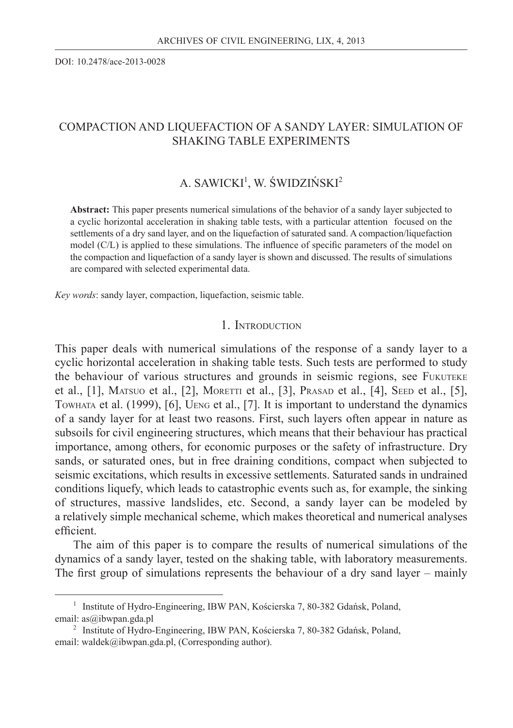DOI: 10.2478/ace-2013-0028

## COMPACTION AND LIQUEFACTION OF A SANDY LAYER: SIMULATION OF SHAKING TABLE EXPERIMENTS

## A. SAWICKI<sup>1</sup>, W. ŚWIDZIŃSKI<sup>2</sup>

**Abstract:** This paper presents numerical simulations of the behavior of a sandy layer subjected to a cyclic horizontal acceleration in shaking table tests, with a particular attention focused on the settlements of a dry sand layer, and on the liquefaction of saturated sand. A compaction/liquefaction model (C/L) is applied to these simulations. The influence of specific parameters of the model on the compaction and liquefaction of a sandy layer is shown and discussed. The results of simulations are compared with selected experimental data.

*Key words*: sandy layer, compaction, liquefaction, seismic table.

### 1. INTRODUCTION

This paper deals with numerical simulations of the response of a sandy layer to a cyclic horizontal acceleration in shaking table tests. Such tests are performed to study the behaviour of various structures and grounds in seismic regions, see FUKUTEKE et al., [1], MATSUO et al., [2], MORETTI et al., [3], PRASAD et al., [4], SEED et al., [5], TOWHATA et al. (1999), [6], UENG et al., [7]. It is important to understand the dynamics of a sandy layer for at least two reasons. First, such layers often appear in nature as subsoils for civil engineering structures, which means that their behaviour has practical importance, among others, for economic purposes or the safety of infrastructure. Dry sands, or saturated ones, but in free draining conditions, compact when subjected to seismic excitations, which results in excessive settlements. Saturated sands in undrained conditions liquefy, which leads to catastrophic events such as, for example, the sinking of structures, massive landslides, etc. Second, a sandy layer can be modeled by a relatively simple mechanical scheme, which makes theoretical and numerical analyses efficient.

The aim of this paper is to compare the results of numerical simulations of the dynamics of a sandy layer, tested on the shaking table, with laboratory measurements. The first group of simulations represents the behaviour of a dry sand layer – mainly

<sup>&</sup>lt;sup>1</sup> Institute of Hydro-Engineering, IBW PAN, Kościerska 7, 80-382 Gdańsk, Poland, email: as@ibwpan.gda.pl

<sup>&</sup>lt;sup>2</sup> Institute of Hydro-Engineering, IBW PAN, Kościerska 7, 80-382 Gdańsk, Poland, email: waldek@ibwpan.gda.pl, (Corresponding author).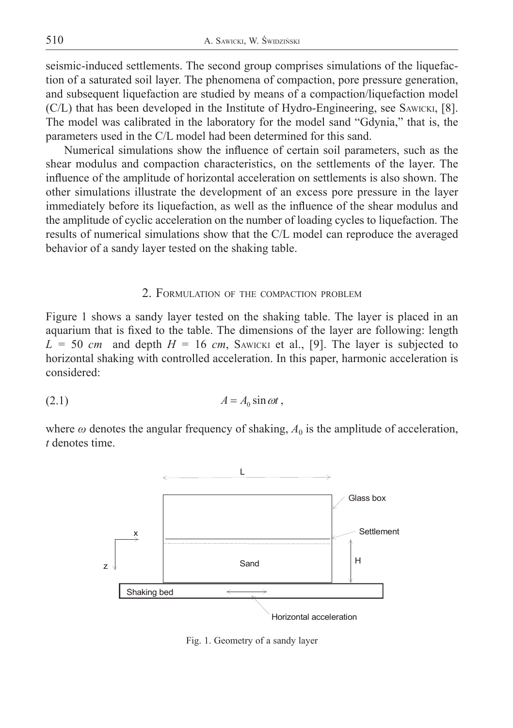seismic-induced settlements. The second group comprises simulations of the liquefaction of a saturated soil layer. The phenomena of compaction, pore pressure generation, and subsequent liquefaction are studied by means of a compaction/liquefaction model (C/L) that has been developed in the Institute of Hydro-Engineering, see SAWICKI, [8]. The model was calibrated in the laboratory for the model sand "Gdynia," that is, the parameters used in the C/L model had been determined for this sand.

Numerical simulations show the influence of certain soil parameters, such as the shear modulus and compaction characteristics, on the settlements of the layer. The influence of the amplitude of horizontal acceleration on settlements is also shown. The other simulations illustrate the development of an excess pore pressure in the layer immediately before its liquefaction, as well as the influence of the shear modulus and the amplitude of cyclic acceleration on the number of loading cycles to liquefaction. The results of numerical simulations show that the C/L model can reproduce the averaged behavior of a sandy layer tested on the shaking table.

### 2. FORMULATION OF THE COMPACTION PROBLEM

Figure 1 shows a sandy layer tested on the shaking table. The layer is placed in an aquarium that is fixed to the table. The dimensions of the layer are following: length  $L = 50$  *cm* and depth  $H = 16$  *cm*, SAWICKI et al., [9]. The layer is subjected to horizontal shaking with controlled acceleration. In this paper, harmonic acceleration is considered:

$$
(2.1) \t\t\t A = A_0 \sin \omega t,
$$

where  $\omega$  denotes the angular frequency of shaking,  $A_0$  is the amplitude of acceleration, *t* denotes time.



Fig. 1. Geometry of a sandy layer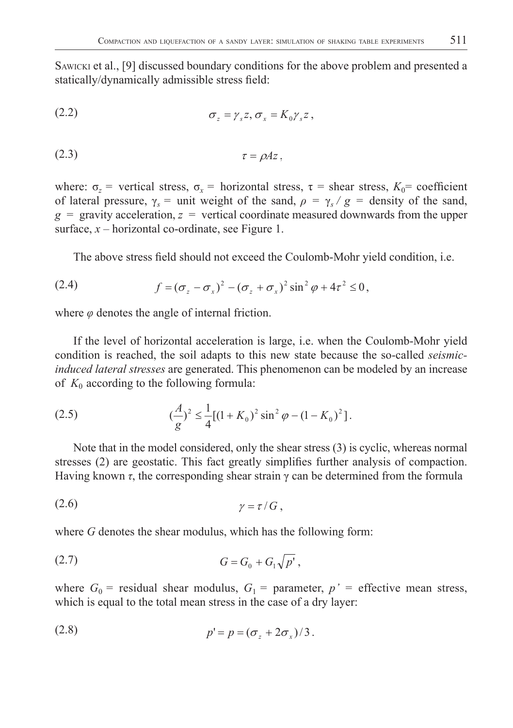SAWICKI et al., [9] discussed boundary conditions for the above problem and presented a statically/dynamically admissible stress field:

$$
\sigma_z = \gamma_s z, \sigma_x = K_0 \gamma_s z,
$$

$$
\tau = \rho A z,
$$

where:  $\sigma_z$  = vertical stress,  $\sigma_x$  = horizontal stress,  $\tau$  = shear stress,  $K_0$  = coefficient of lateral pressure,  $\gamma_s$  = unit weight of the sand,  $\rho = \gamma_s / g$  = density of the sand,  $g =$  gravity acceleration,  $z =$  vertical coordinate measured downwards from the upper surface, *x* – horizontal co-ordinate, see Figure 1.

The above stress field should not exceed the Coulomb-Mohr yield condition, i.e.

(2.4) 
$$
f = (\sigma_z - \sigma_x)^2 - (\sigma_z + \sigma_x)^2 \sin^2 \varphi + 4\tau^2 \le 0,
$$

where  $\varphi$  denotes the angle of internal friction.

If the level of horizontal acceleration is large, i.e. when the Coulomb-Mohr yield condition is reached, the soil adapts to this new state because the so-called *seismicinduced lateral stresses* are generated. This phenomenon can be modeled by an increase of  $K_0$  according to the following formula:

(2.5) 
$$
\frac{A}{g} \leq \frac{1}{4} [(1 + K_0)^2 \sin^2 \varphi - (1 - K_0)^2].
$$

Note that in the model considered, only the shear stress (3) is cyclic, whereas normal stresses (2) are geostatic. This fact greatly simplifies further analysis of compaction. Having known  $\tau$ , the corresponding shear strain  $\gamma$  can be determined from the formula

$$
\gamma = \tau / G \,,
$$

where *G* denotes the shear modulus, which has the following form:

(2.7) 
$$
G = G_0 + G_1 \sqrt{p'},
$$

where  $G_0$  = residual shear modulus,  $G_1$  = parameter,  $p'$  = effective mean stress, which is equal to the total mean stress in the case of a dry layer:

$$
(2.8) \t\t\t p'=p=(\sigma_z+2\sigma_x)/3.
$$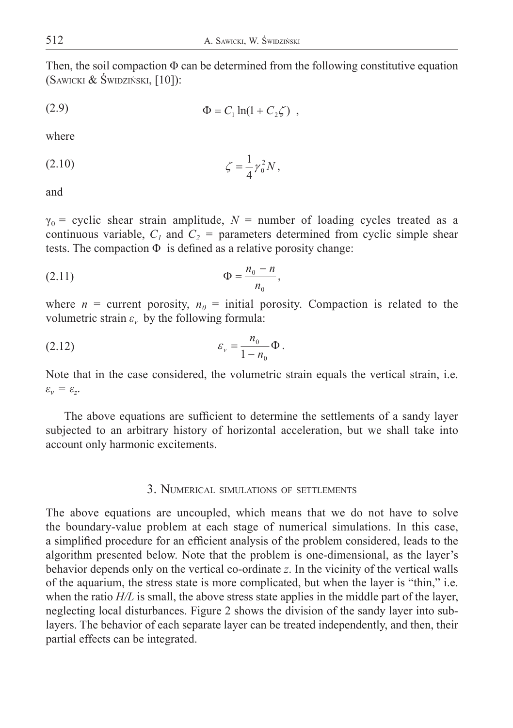Then, the soil compaction  $\Phi$  can be determined from the following constitutive equation (SAWICKI & ŚWIDZIŃSKI, [10]):

(2.9) 
$$
\Phi = C_1 \ln(1 + C_2 \zeta) ,
$$

where

(2.10) 
$$
\zeta = \frac{1}{4} \gamma_0^2 N,
$$

and

 $\gamma_0$  = cyclic shear strain amplitude,  $N$  = number of loading cycles treated as a continuous variable,  $C_1$  and  $C_2$  = parameters determined from cyclic simple shear tests. The compaction  $\Phi$  is defined as a relative porosity change:

(2.11) 
$$
\Phi = \frac{n_0 - n}{n_0},
$$

where  $n =$  current porosity,  $n_0 =$  initial porosity. Compaction is related to the volumetric strain  $\varepsilon$ <sup>*v*</sup> by the following formula:

(2.12) 
$$
\varepsilon_{v} = \frac{n_{0}}{1 - n_{0}} \Phi.
$$

Note that in the case considered, the volumetric strain equals the vertical strain, i.e.  $\varepsilon_{v} = \varepsilon_{z}$ .

The above equations are sufficient to determine the settlements of a sandy layer subjected to an arbitrary history of horizontal acceleration, but we shall take into account only harmonic excitements.

#### 3. NUMERICAL SIMULATIONS OF SETTLEMENTS

The above equations are uncoupled, which means that we do not have to solve the boundary-value problem at each stage of numerical simulations. In this case, a simplified procedure for an efficient analysis of the problem considered, leads to the algorithm presented below. Note that the problem is one-dimensional, as the layer's behavior depends only on the vertical co-ordinate *z*. In the vicinity of the vertical walls of the aquarium, the stress state is more complicated, but when the layer is "thin," i.e. when the ratio *H*/*L* is small, the above stress state applies in the middle part of the layer, neglecting local disturbances. Figure 2 shows the division of the sandy layer into sublayers. The behavior of each separate layer can be treated independently, and then, their partial effects can be integrated.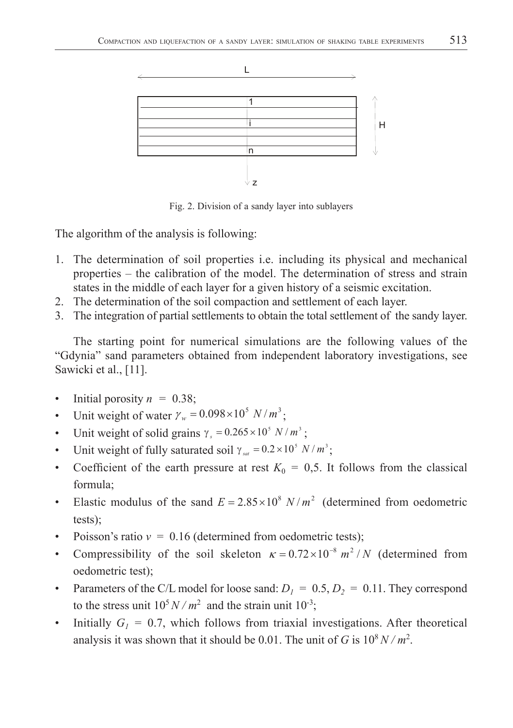

Fig. 2. Division of a sandy layer into sublayers

The algorithm of the analysis is following:

- 1. The determination of soil properties i.e. including its physical and mechanical properties – the calibration of the model. The determination of stress and strain states in the middle of each layer for a given history of a seismic excitation.
- 2. The determination of the soil compaction and settlement of each layer.
- 3. The integration of partial settlements to obtain the total settlement of the sandy layer.

The starting point for numerical simulations are the following values of the "Gdynia" sand parameters obtained from independent laboratory investigations, see Sawicki et al., [11].

- Initial porosity  $n = 0.38$ ;
- Unit weight of water  $\gamma_w = 0.098 \times 10^5 \text{ N} / m^3$ ;
- Unit weight of solid grains  $\gamma_s = 0.265 \times 10^5 N / m^3$ ;
- Unit weight of fully saturated soil  $\gamma_{sat} = 0.2 \times 10^5 \text{ N} / m^3$ ;
- Coefficient of the earth pressure at rest  $K_0 = 0.5$ . It follows from the classical formula;
- Elastic modulus of the sand  $E = 2.85 \times 10^8$  *N* /  $m^2$  (determined from oedometric tests);
- Poisson's ratio  $v = 0.16$  (determined from oedometric tests);
- Compressibility of the soil skeleton  $\kappa = 0.72 \times 10^{-8} \ m^2 / N$  (determined from oedometric test);
- Parameters of the C/L model for loose sand:  $D_1 = 0.5, D_2 = 0.11$ . They correspond to the stress unit  $10^5 N/m^2$  and the strain unit  $10^{-3}$ ;
- Initially  $G_1 = 0.7$ , which follows from triaxial investigations. After theoretical analysis it was shown that it should be 0.01. The unit of *G* is  $10^8 N/m^2$ .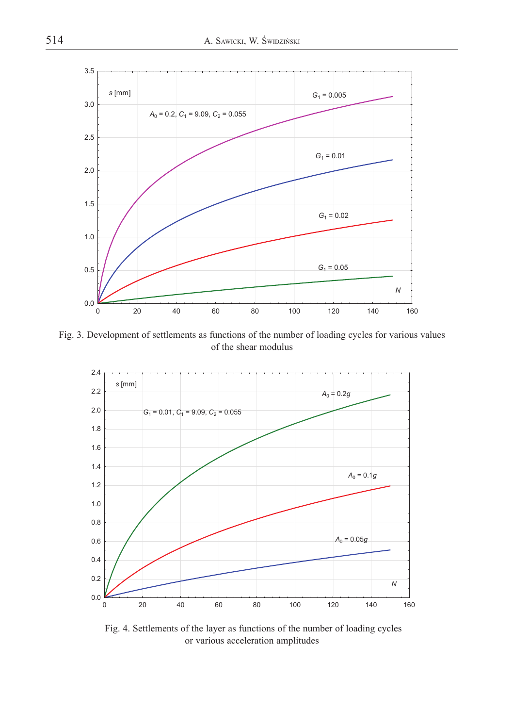

Fig. 3. Development of settlements as functions of the number of loading cycles for various values of the shear modulus



 Fig. 4. Settlements of the layer as functions of the number of loading cycles or various acceleration amplitudes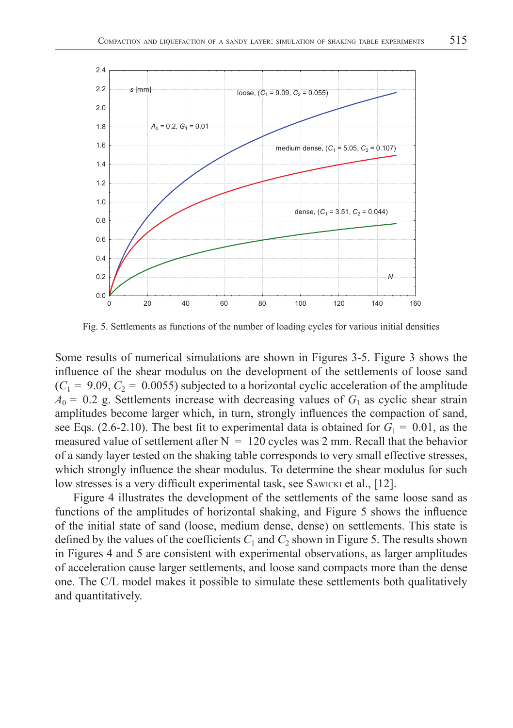

Fig. 5. Settlements as functions of the number of loading cycles for various initial densities

Some results of numerical simulations are shown in Figures 3-5. Figure 3 shows the influence of the shear modulus on the development of the settlements of loose sand  $(C_1 = 9.09, C_2 = 0.0055)$  subjected to a horizontal cyclic acceleration of the amplitude  $A_0 = 0.2$  g. Settlements increase with decreasing values of  $G_1$  as cyclic shear strain amplitudes become larger which, in turn, strongly influences the compaction of sand, see Eqs. (2.6-2.10). The best fit to experimental data is obtained for  $G_1 = 0.01$ , as the measured value of settlement after  $N = 120$  cycles was 2 mm. Recall that the behavior of a sandy layer tested on the shaking table corresponds to very small effective stresses, which strongly influence the shear modulus. To determine the shear modulus for such low stresses is a very difficult experimental task, see SAWICKI et al., [12].

Figure 4 illustrates the development of the settlements of the same loose sand as functions of the amplitudes of horizontal shaking, and Figure 5 shows the influence of the initial state of sand (loose, medium dense, dense) on settlements. This state is defined by the values of the coefficients  $C_1$  and  $C_2$  shown in Figure 5. The results shown in Figures 4 and 5 are consistent with experimental observations, as larger amplitudes of acceleration cause larger settlements, and loose sand compacts more than the dense one. The C/L model makes it possible to simulate these settlements both qualitatively and quantitatively.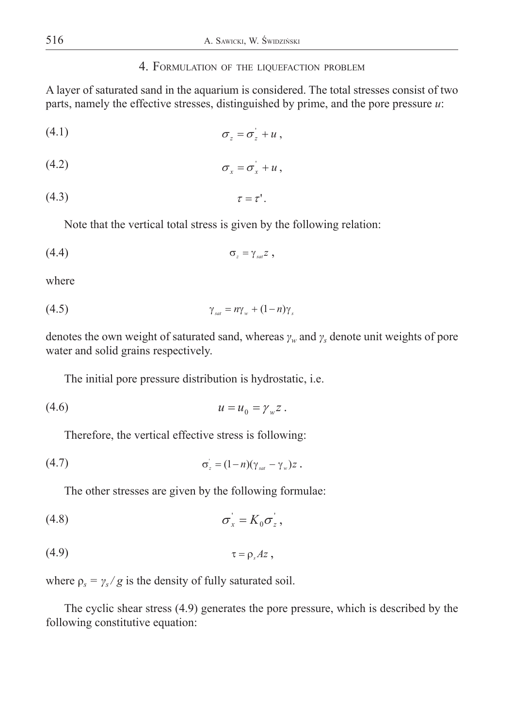### 4. FORMULATION OF THE LIQUEFACTION PROBLEM

A layer of saturated sand in the aquarium is considered. The total stresses consist of two parts, namely the effective stresses, distinguished by prime, and the pore pressure *u*:

$$
\sigma_z = \sigma_z + u \,,
$$

$$
\sigma_x = \sigma_x^+ + u \,,
$$

$$
\tau = \tau'.
$$

Note that the vertical total stress is given by the following relation:

$$
\sigma_z = \gamma_{\rm sat} z \ ,
$$

where

$$
\gamma_{sat} = n\gamma_w + (1 - n)\gamma_s
$$

denotes the own weight of saturated sand, whereas *γw* and *γs* denote unit weights of pore water and solid grains respectively.

The initial pore pressure distribution is hydrostatic, i.e.

$$
(4.6) \t\t\t u = u_0 = \gamma_w z .
$$

Therefore, the vertical effective stress is following:

$$
\sigma_z = (1-n)(\gamma_{sat} - \gamma_w)z.
$$

The other stresses are given by the following formulae:

$$
\sigma_x = K_0 \sigma_z^{\prime},
$$

$$
(4.9) \t\t \tau = \rho_s Az,
$$

where  $\rho_s = \gamma_s / g$  is the density of fully saturated soil.

The cyclic shear stress (4.9) generates the pore pressure, which is described by the following constitutive equation: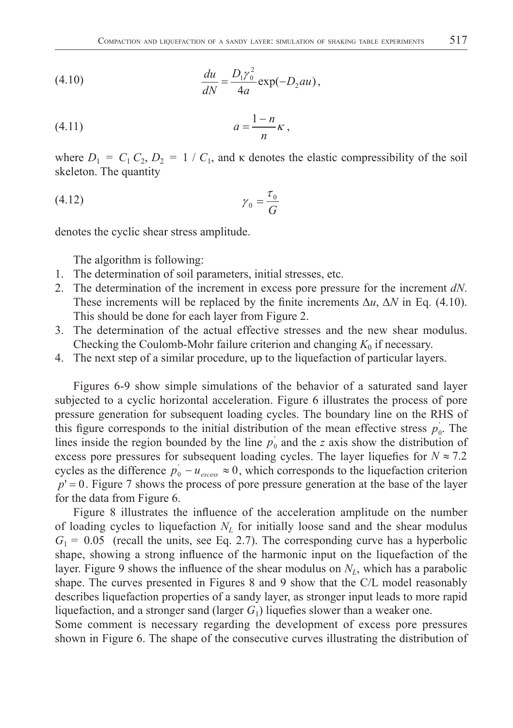(4.10) 
$$
\frac{du}{dN} = \frac{D_1 \gamma_0^2}{4a} \exp(-D_2 a u),
$$

$$
(4.11) \t\t a = \frac{1-n}{n}\kappa,
$$

where  $D_1 = C_1 C_2$ ,  $D_2 = 1 / C_1$ , and  $\kappa$  denotes the elastic compressibility of the soil skeleton. The quantity

$$
\gamma_0 = \frac{\tau_0}{G}
$$

denotes the cyclic shear stress amplitude.

The algorithm is following:

- 1. The determination of soil parameters, initial stresses, etc.
- 2. The determination of the increment in excess pore pressure for the increment *dN*. These increments will be replaced by the finite increments  $\Delta u$ ,  $\Delta N$  in Eq. (4.10). This should be done for each layer from Figure 2.
- 3. The determination of the actual effective stresses and the new shear modulus. Checking the Coulomb-Mohr failure criterion and changing  $K_0$  if necessary.
- 4. The next step of a similar procedure, up to the liquefaction of particular layers.

Figures 6-9 show simple simulations of the behavior of a saturated sand layer subjected to a cyclic horizontal acceleration. Figure 6 illustrates the process of pore pressure generation for subsequent loading cycles. The boundary line on the RHS of this figure corresponds to the initial distribution of the mean effective stress  $p_0$ . The lines inside the region bounded by the line  $p_0$  and the *z* axis show the distribution of excess pore pressures for subsequent loading cycles. The layer liquefies for  $N \approx 7.2$ cycles as the difference  $p_0 - u_{excess} \approx 0$ , which corresponds to the liquefaction criterion  $p' = 0$ . Figure 7 shows the process of pore pressure generation at the base of the layer for the data from Figure 6.

Figure 8 illustrates the influence of the acceleration amplitude on the number of loading cycles to liquefaction  $N_L$  for initially loose sand and the shear modulus  $G_1 = 0.05$  (recall the units, see Eq. 2.7). The corresponding curve has a hyperbolic shape, showing a strong influence of the harmonic input on the liquefaction of the layer. Figure 9 shows the influence of the shear modulus on  $N_L$ , which has a parabolic shape. The curves presented in Figures 8 and 9 show that the C/L model reasonably describes liquefaction properties of a sandy layer, as stronger input leads to more rapid liquefaction, and a stronger sand (larger  $G_1$ ) liquefies slower than a weaker one.

Some comment is necessary regarding the development of excess pore pressures shown in Figure 6. The shape of the consecutive curves illustrating the distribution of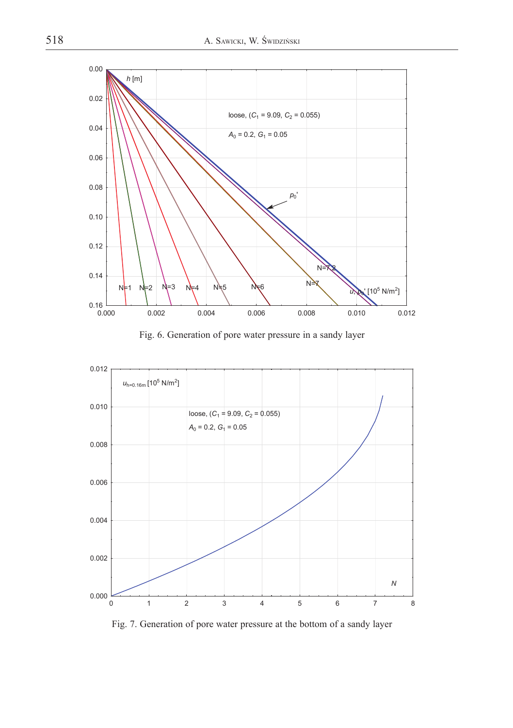

Fig. 6. Generation of pore water pressure in a sandy layer



Fig. 7. Generation of pore water pressure at the bottom of a sandy layer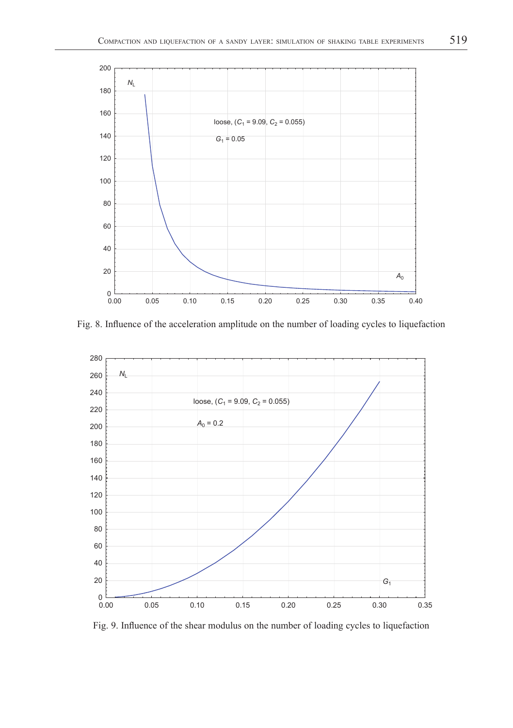

Fig. 8. Influence of the acceleration amplitude on the number of loading cycles to liquefaction



Fig. 9. Influence of the shear modulus on the number of loading cycles to liquefaction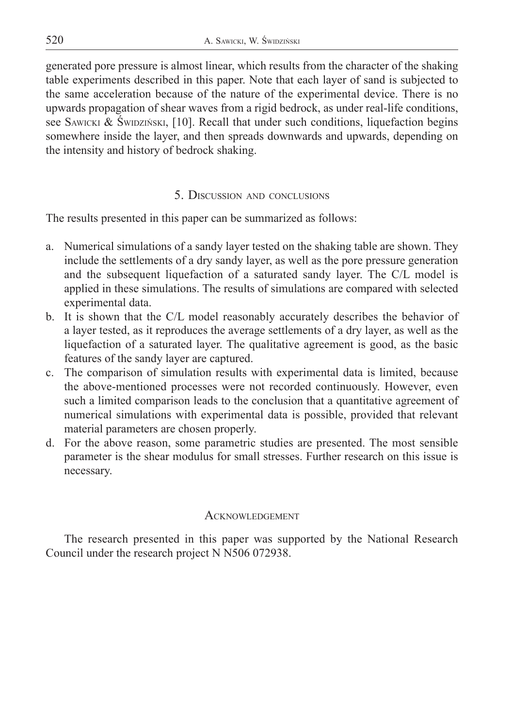generated pore pressure is almost linear, which results from the character of the shaking table experiments described in this paper. Note that each layer of sand is subjected to the same acceleration because of the nature of the experimental device. There is no upwards propagation of shear waves from a rigid bedrock, as under real-life conditions, see SAWICKI & ŚWIDZIŃSKI, [10]. Recall that under such conditions, liquefaction begins somewhere inside the layer, and then spreads downwards and upwards, depending on the intensity and history of bedrock shaking.

## 5. DISCUSSION AND CONCLUSIONS

The results presented in this paper can be summarized as follows:

- a. Numerical simulations of a sandy layer tested on the shaking table are shown. They include the settlements of a dry sandy layer, as well as the pore pressure generation and the subsequent liquefaction of a saturated sandy layer. The C/L model is applied in these simulations. The results of simulations are compared with selected experimental data.
- b. It is shown that the C/L model reasonably accurately describes the behavior of a layer tested, as it reproduces the average settlements of a dry layer, as well as the liquefaction of a saturated layer. The qualitative agreement is good, as the basic features of the sandy layer are captured.
- c. The comparison of simulation results with experimental data is limited, because the above-mentioned processes were not recorded continuously. However, even such a limited comparison leads to the conclusion that a quantitative agreement of numerical simulations with experimental data is possible, provided that relevant material parameters are chosen properly.
- d. For the above reason, some parametric studies are presented. The most sensible parameter is the shear modulus for small stresses. Further research on this issue is necessary.

# **ACKNOWLEDGEMENT**

The research presented in this paper was supported by the National Research Council under the research project N N506 072938.